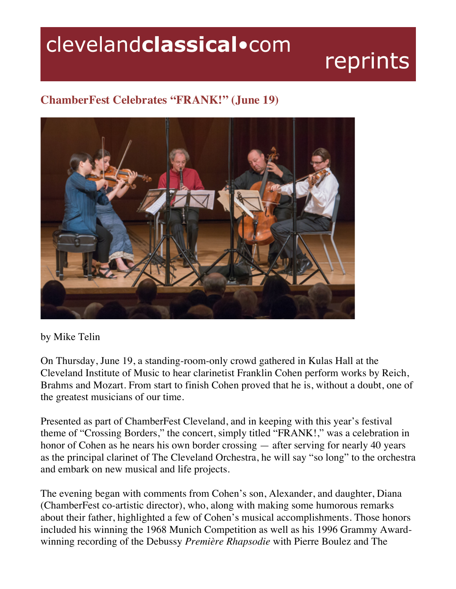## clevelandclassical.com

## reprints

## **ChamberFest Celebrates "FRANK!" (June 19)**



by Mike Telin

On Thursday, June 19, a standing-room-only crowd gathered in Kulas Hall at the Cleveland Institute of Music to hear clarinetist Franklin Cohen perform works by Reich, Brahms and Mozart. From start to finish Cohen proved that he is, without a doubt, one of the greatest musicians of our time.

Presented as part of ChamberFest Cleveland, and in keeping with this year's festival theme of "Crossing Borders," the concert, simply titled "FRANK!," was a celebration in honor of Cohen as he nears his own border crossing — after serving for nearly 40 years as the principal clarinet of The Cleveland Orchestra, he will say "so long" to the orchestra and embark on new musical and life projects.

The evening began with comments from Cohen's son, Alexander, and daughter, Diana (ChamberFest co-artistic director), who, along with making some humorous remarks about their father, highlighted a few of Cohen's musical accomplishments. Those honors included his winning the 1968 Munich Competition as well as his 1996 Grammy Awardwinning recording of the Debussy *Première Rhapsodie* with Pierre Boulez and The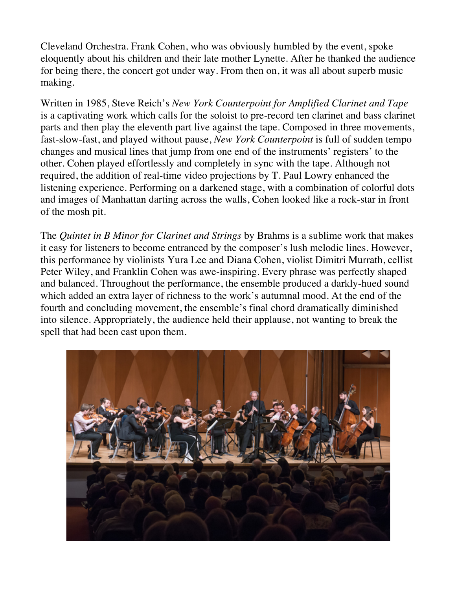Cleveland Orchestra. Frank Cohen, who was obviously humbled by the event, spoke eloquently about his children and their late mother Lynette. After he thanked the audience for being there, the concert got under way. From then on, it was all about superb music making.

Written in 1985, Steve Reich's *New York Counterpoint for Amplified Clarinet and Tape* is a captivating work which calls for the soloist to pre-record ten clarinet and bass clarinet parts and then play the eleventh part live against the tape. Composed in three movements, fast-slow-fast, and played without pause, *New York Counterpoint* is full of sudden tempo changes and musical lines that jump from one end of the instruments' registers' to the other. Cohen played effortlessly and completely in sync with the tape. Although not required, the addition of real-time video projections by T. Paul Lowry enhanced the listening experience. Performing on a darkened stage, with a combination of colorful dots and images of Manhattan darting across the walls, Cohen looked like a rock-star in front of the mosh pit.

The *Quintet in B Minor for Clarinet and Strings* by Brahms is a sublime work that makes it easy for listeners to become entranced by the composer's lush melodic lines. However, this performance by violinists Yura Lee and Diana Cohen, violist Dimitri Murrath, cellist Peter Wiley, and Franklin Cohen was awe-inspiring. Every phrase was perfectly shaped and balanced. Throughout the performance, the ensemble produced a darkly-hued sound which added an extra layer of richness to the work's autumnal mood. At the end of the fourth and concluding movement, the ensemble's final chord dramatically diminished into silence. Appropriately, the audience held their applause, not wanting to break the spell that had been cast upon them.